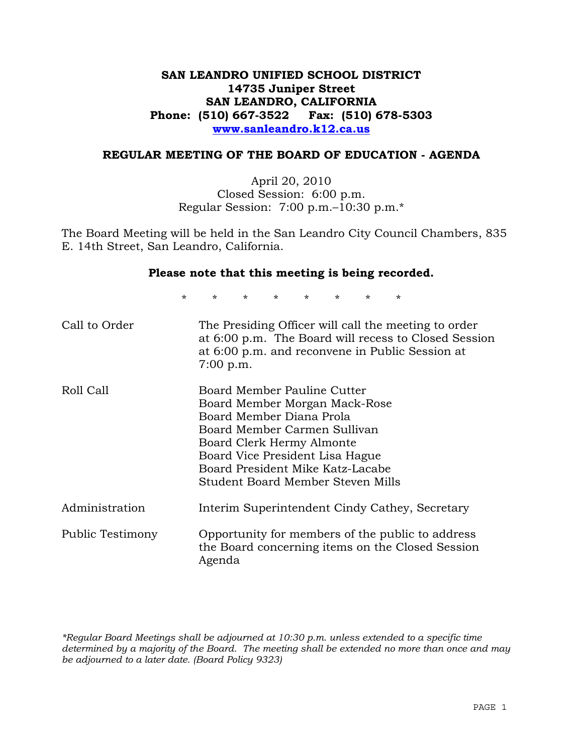# **SAN LEANDRO UNIFIED SCHOOL DISTRICT 14735 Juniper Street SAN LEANDRO, CALIFORNIA Phone: (510) 667-3522 Fax: (510) 678-5303 www.sanleandro.k12.ca.us**

#### **REGULAR MEETING OF THE BOARD OF EDUCATION - AGENDA**

April 20, 2010 Closed Session: 6:00 p.m. Regular Session: 7:00 p.m.–10:30 p.m.\*

The Board Meeting will be held in the San Leandro City Council Chambers, 835 E. 14th Street, San Leandro, California.

#### **Please note that this meeting is being recorded.**

\* \* \* \* \* \* \* \*

| Call to Order    | The Presiding Officer will call the meeting to order<br>at 6:00 p.m. The Board will recess to Closed Session<br>at 6:00 p.m. and reconvene in Public Session at<br>$7:00$ p.m.                                                                                    |
|------------------|-------------------------------------------------------------------------------------------------------------------------------------------------------------------------------------------------------------------------------------------------------------------|
| Roll Call        | Board Member Pauline Cutter<br>Board Member Morgan Mack-Rose<br>Board Member Diana Prola<br>Board Member Carmen Sullivan<br>Board Clerk Hermy Almonte<br>Board Vice President Lisa Hague<br>Board President Mike Katz-Lacabe<br>Student Board Member Steven Mills |
| Administration   | Interim Superintendent Cindy Cathey, Secretary                                                                                                                                                                                                                    |
| Public Testimony | Opportunity for members of the public to address<br>the Board concerning items on the Closed Session<br>Agenda                                                                                                                                                    |

*\*Regular Board Meetings shall be adjourned at 10:30 p.m. unless extended to a specific time determined by a majority of the Board. The meeting shall be extended no more than once and may be adjourned to a later date. (Board Policy 9323)*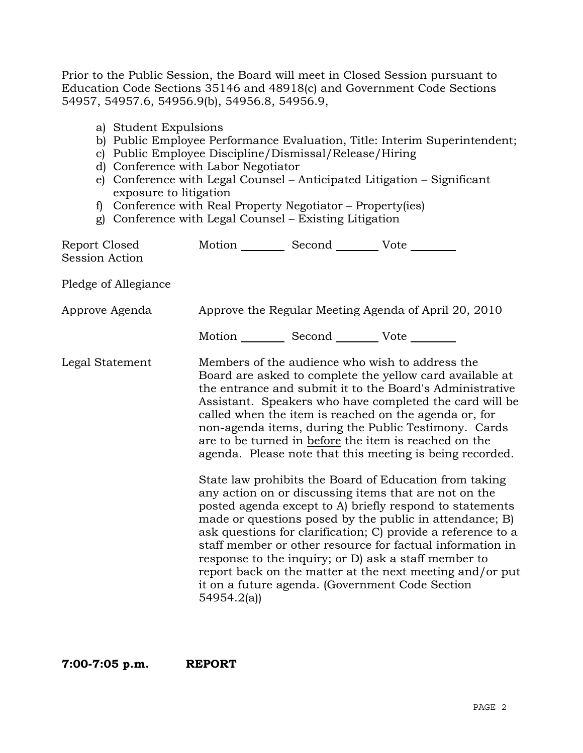Prior to the Public Session, the Board will meet in Closed Session pursuant to Education Code Sections 35146 and 48918(c) and Government Code Sections 54957, 54957.6, 54956.9(b), 54956.8, 54956.9,

- a) Student Expulsions
- b) Public Employee Performance Evaluation, Title: Interim Superintendent;
- c) Public Employee Discipline/Dismissal/Release/Hiring
- d) Conference with Labor Negotiator
- e) Conference with Legal Counsel Anticipated Litigation Significant exposure to litigation
- f) Conference with Real Property Negotiator Property(ies)
- g) Conference with Legal Counsel Existing Litigation

| Report Closed<br><b>Session Action</b> | Motion __________ Second __________ Vote ________ |                                                                                                                                                                                                                                                                                                                                                                                                                                                                                                                                                                                                                                                                                                                                                                                                                                                                                                                                                                                                                        |
|----------------------------------------|---------------------------------------------------|------------------------------------------------------------------------------------------------------------------------------------------------------------------------------------------------------------------------------------------------------------------------------------------------------------------------------------------------------------------------------------------------------------------------------------------------------------------------------------------------------------------------------------------------------------------------------------------------------------------------------------------------------------------------------------------------------------------------------------------------------------------------------------------------------------------------------------------------------------------------------------------------------------------------------------------------------------------------------------------------------------------------|
| Pledge of Allegiance                   |                                                   |                                                                                                                                                                                                                                                                                                                                                                                                                                                                                                                                                                                                                                                                                                                                                                                                                                                                                                                                                                                                                        |
| Approve Agenda                         |                                                   | Approve the Regular Meeting Agenda of April 20, 2010                                                                                                                                                                                                                                                                                                                                                                                                                                                                                                                                                                                                                                                                                                                                                                                                                                                                                                                                                                   |
|                                        | Motion __________ Second __________ Vote ________ |                                                                                                                                                                                                                                                                                                                                                                                                                                                                                                                                                                                                                                                                                                                                                                                                                                                                                                                                                                                                                        |
| Legal Statement                        | 54954.2(a)                                        | Members of the audience who wish to address the<br>Board are asked to complete the yellow card available at<br>the entrance and submit it to the Board's Administrative<br>Assistant. Speakers who have completed the card will be<br>called when the item is reached on the agenda or, for<br>non-agenda items, during the Public Testimony. Cards<br>are to be turned in before the item is reached on the<br>agenda. Please note that this meeting is being recorded.<br>State law prohibits the Board of Education from taking<br>any action on or discussing items that are not on the<br>posted agenda except to A) briefly respond to statements<br>made or questions posed by the public in attendance; B)<br>ask questions for clarification; C) provide a reference to a<br>staff member or other resource for factual information in<br>response to the inquiry; or D) ask a staff member to<br>report back on the matter at the next meeting and/or put<br>it on a future agenda. (Government Code Section |

**7:00-7:05 p.m. REPORT**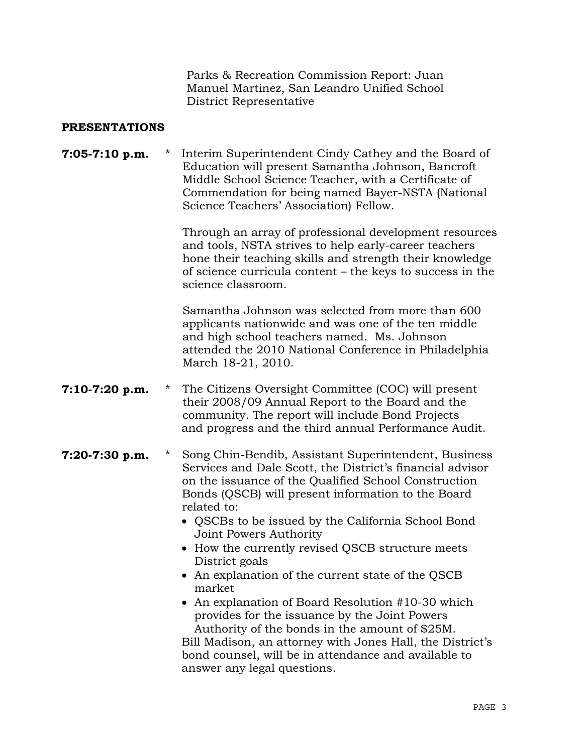Parks & Recreation Commission Report: Juan Manuel Martinez, San Leandro Unified School District Representative

#### **PRESENTATIONS**

## **7:05-7:10 p.m.** \* Interim Superintendent Cindy Cathey and the Board of Education will present Samantha Johnson, Bancroft Middle School Science Teacher, with a Certificate of Commendation for being named Bayer-NSTA (National Science Teachers' Association) Fellow.

 Through an array of professional development resources and tools, NSTA strives to help early-career teachers hone their teaching skills and strength their knowledge of science curricula content – the keys to success in the science classroom.

 Samantha Johnson was selected from more than 600 applicants nationwide and was one of the ten middle and high school teachers named. Ms. Johnson attended the 2010 National Conference in Philadelphia March 18-21, 2010.

- **7:10-7:20 p.m.** \* The Citizens Oversight Committee (COC) will present their 2008/09 Annual Report to the Board and the community. The report will include Bond Projects and progress and the third annual Performance Audit.
- **7:20-7:30 p.m.** \* Song Chin-Bendib, Assistant Superintendent, Business Services and Dale Scott, the District's financial advisor on the issuance of the Qualified School Construction Bonds (QSCB) will present information to the Board related to:
	- QSCBs to be issued by the California School Bond Joint Powers Authority
	- How the currently revised QSCB structure meets District goals
	- An explanation of the current state of the QSCB market
	- An explanation of Board Resolution #10-30 which provides for the issuance by the Joint Powers Authority of the bonds in the amount of \$25M.

Bill Madison, an attorney with Jones Hall, the District's bond counsel, will be in attendance and available to answer any legal questions.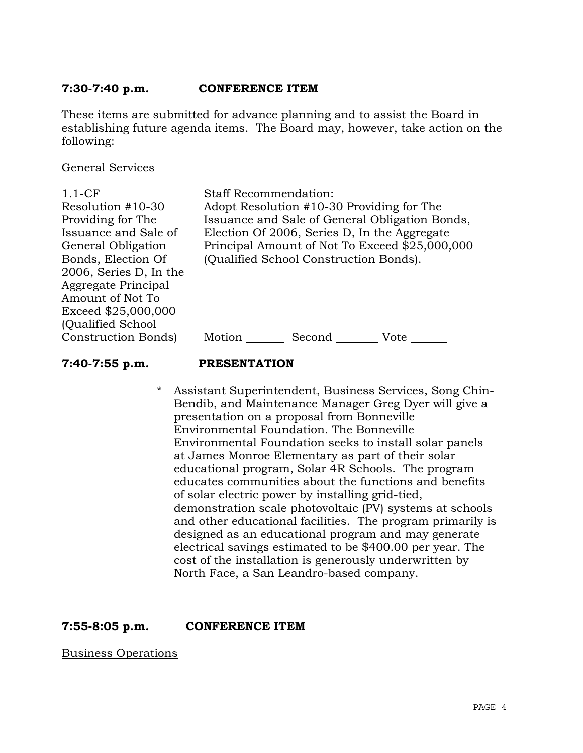## **7:30-7:40 p.m. CONFERENCE ITEM**

These items are submitted for advance planning and to assist the Board in establishing future agenda items. The Board may, however, take action on the following:

#### General Services

1.1-CF Resolution #10-30 Providing for The Issuance and Sale of General Obligation Bonds, Election Of 2006, Series D, In the Aggregate Principal Amount of Not To Exceed \$25,000,000 (Qualified School Construction Bonds) Staff Recommendation: Adopt Resolution #10-30 Providing for The Issuance and Sale of General Obligation Bonds, Election Of 2006, Series D, In the Aggregate Principal Amount of Not To Exceed \$25,000,000 (Qualified School Construction Bonds). Motion Second Vote

#### **7:40-7:55 p.m. PRESENTATION**

\* Assistant Superintendent, Business Services, Song Chin-Bendib, and Maintenance Manager Greg Dyer will give a presentation on a proposal from Bonneville Environmental Foundation. The Bonneville Environmental Foundation seeks to install solar panels at James Monroe Elementary as part of their solar educational program, Solar 4R Schools. The program educates communities about the functions and benefits of solar electric power by installing grid-tied, demonstration scale photovoltaic (PV) systems at schools and other educational facilities. The program primarily is designed as an educational program and may generate electrical savings estimated to be \$400.00 per year. The cost of the installation is generously underwritten by North Face, a San Leandro-based company.

**7:55-8:05 p.m. CONFERENCE ITEM** 

Business Operations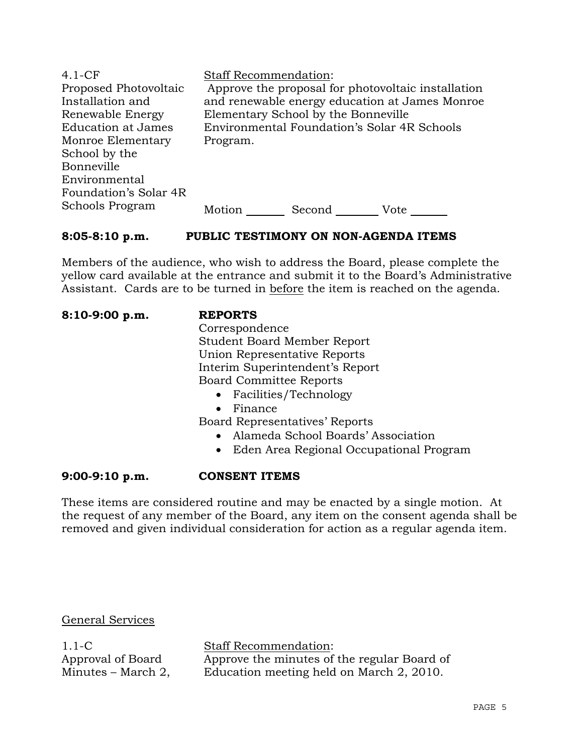| $4.1-CF$                  | <b>Staff Recommendation:</b>                       |
|---------------------------|----------------------------------------------------|
| Proposed Photovoltaic     | Approve the proposal for photovoltaic installation |
| Installation and          | and renewable energy education at James Monroe     |
| Renewable Energy          | Elementary School by the Bonneville                |
| <b>Education at James</b> | Environmental Foundation's Solar 4R Schools        |
| Monroe Elementary         | Program.                                           |
| School by the             |                                                    |
| Bonneville                |                                                    |
| Environmental             |                                                    |
| Foundation's Solar 4R     |                                                    |
| Schools Program           | Motion<br>Second<br>Vote                           |

# **8:05-8:10 p.m. PUBLIC TESTIMONY ON NON-AGENDA ITEMS**

Members of the audience, who wish to address the Board, please complete the yellow card available at the entrance and submit it to the Board's Administrative Assistant. Cards are to be turned in before the item is reached on the agenda.

| $8:10-9:00 p.m.$ | <b>REPORTS</b>                                       |
|------------------|------------------------------------------------------|
|                  | Correspondence                                       |
|                  | <b>Student Board Member Report</b>                   |
|                  | Union Representative Reports                         |
|                  | Interim Superintendent's Report                      |
|                  | <b>Board Committee Reports</b>                       |
|                  | • Facilities/Technology                              |
|                  | Finance<br>$\bullet$                                 |
|                  | Board Representatives' Reports                       |
|                  | Alameda School Boards' Association<br>$\bullet$      |
|                  | Eden Area Regional Occupational Program<br>$\bullet$ |

# **9:00-9:10 p.m. CONSENT ITEMS**

These items are considered routine and may be enacted by a single motion. At the request of any member of the Board, any item on the consent agenda shall be removed and given individual consideration for action as a regular agenda item.

# General Services

 $1.1-C$ Approval of Board Minutes – March 2, Staff Recommendation: Approve the minutes of the regular Board of Education meeting held on March 2, 2010.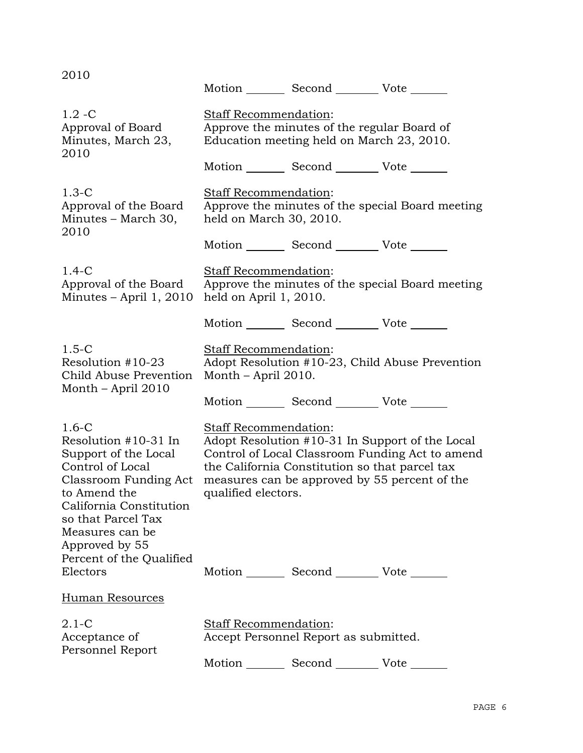| 2010                                                                                                                                                                                                         |                                                                                                                                                                                                                                                       | Motion _________ Second __________ Vote _______ |                                                  |  |
|--------------------------------------------------------------------------------------------------------------------------------------------------------------------------------------------------------------|-------------------------------------------------------------------------------------------------------------------------------------------------------------------------------------------------------------------------------------------------------|-------------------------------------------------|--------------------------------------------------|--|
| $1.2 - C$<br>Approval of Board<br>Minutes, March 23,<br>2010                                                                                                                                                 | Staff Recommendation:<br>Approve the minutes of the regular Board of<br>Education meeting held on March 23, 2010.                                                                                                                                     |                                                 |                                                  |  |
|                                                                                                                                                                                                              |                                                                                                                                                                                                                                                       | Motion _________ Second __________ Vote _______ |                                                  |  |
| $1.3-C$<br>Approval of the Board<br>Minutes - March 30,<br>2010                                                                                                                                              | Staff Recommendation:<br>held on March 30, 2010.                                                                                                                                                                                                      |                                                 | Approve the minutes of the special Board meeting |  |
|                                                                                                                                                                                                              |                                                                                                                                                                                                                                                       | Motion _________ Second __________ Vote _______ |                                                  |  |
| $1.4-C$<br>Approval of the Board<br>Minutes $-$ April 1, 2010                                                                                                                                                | <b>Staff Recommendation:</b><br>held on April 1, 2010.                                                                                                                                                                                                |                                                 | Approve the minutes of the special Board meeting |  |
|                                                                                                                                                                                                              |                                                                                                                                                                                                                                                       | Motion _________ Second __________ Vote _______ |                                                  |  |
| $1.5-C$<br>Resolution #10-23<br>Child Abuse Prevention                                                                                                                                                       | <b>Staff Recommendation:</b><br>Adopt Resolution #10-23, Child Abuse Prevention<br>Month – April 2010.                                                                                                                                                |                                                 |                                                  |  |
| Month – April 2010                                                                                                                                                                                           |                                                                                                                                                                                                                                                       | Motion _________ Second __________ Vote _______ |                                                  |  |
| $1.6 - C$<br>Resolution #10-31 In<br>Support of the Local<br>Control of Local<br>Classroom Funding Act<br>to Amend the<br>California Constitution<br>so that Parcel Tax<br>Measures can be<br>Approved by 55 | Staff Recommendation:<br>Adopt Resolution #10-31 In Support of the Local<br>Control of Local Classroom Funding Act to amend<br>the California Constitution so that parcel tax<br>measures can be approved by 55 percent of the<br>qualified electors. |                                                 |                                                  |  |
| Percent of the Qualified<br>Electors                                                                                                                                                                         |                                                                                                                                                                                                                                                       | Motion _________ Second __________ Vote _______ |                                                  |  |
| <b>Human Resources</b>                                                                                                                                                                                       |                                                                                                                                                                                                                                                       |                                                 |                                                  |  |
| $2.1-C$<br>Acceptance of<br>Personnel Report                                                                                                                                                                 | Staff Recommendation:                                                                                                                                                                                                                                 | Accept Personnel Report as submitted.           |                                                  |  |
|                                                                                                                                                                                                              |                                                                                                                                                                                                                                                       | Motion _________ Second __________ Vote ____    |                                                  |  |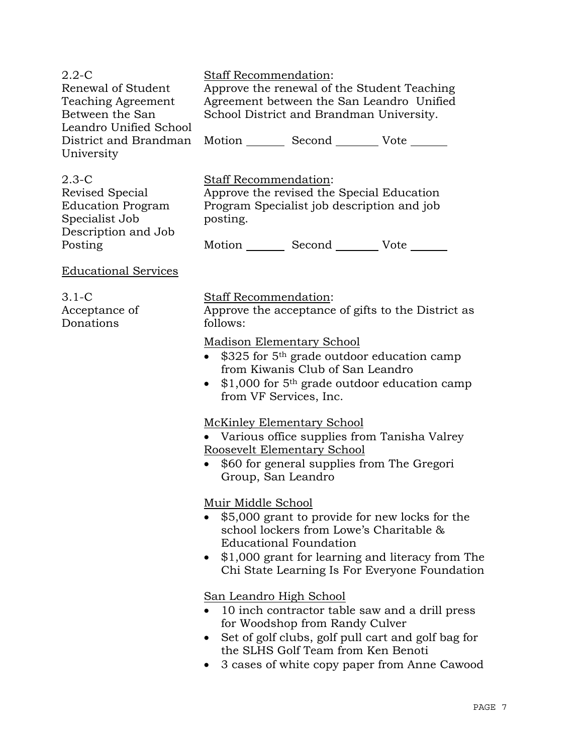| $2.2 - C$<br>Renewal of Student<br><b>Teaching Agreement</b><br>Between the San<br>Leandro Unified School | Staff Recommendation:<br>Approve the renewal of the Student Teaching<br>Agreement between the San Leandro Unified<br>School District and Brandman University.                                                                                                  |                                                                                         |                                               |  |
|-----------------------------------------------------------------------------------------------------------|----------------------------------------------------------------------------------------------------------------------------------------------------------------------------------------------------------------------------------------------------------------|-----------------------------------------------------------------------------------------|-----------------------------------------------|--|
| District and Brandman<br>University                                                                       |                                                                                                                                                                                                                                                                | Motion _________ Second __________ Vote _______                                         |                                               |  |
| $2.3-C$<br>Revised Special<br><b>Education Program</b><br>Specialist Job<br>Description and Job           | Staff Recommendation:<br>posting.                                                                                                                                                                                                                              | Approve the revised the Special Education<br>Program Specialist job description and job |                                               |  |
| Posting                                                                                                   |                                                                                                                                                                                                                                                                | Motion Second Vote                                                                      |                                               |  |
| <b>Educational Services</b>                                                                               |                                                                                                                                                                                                                                                                |                                                                                         |                                               |  |
| $3.1-C$<br>Acceptance of<br>Donations                                                                     | <b>Staff Recommendation:</b><br>Approve the acceptance of gifts to the District as<br>follows:                                                                                                                                                                 |                                                                                         |                                               |  |
|                                                                                                           | Madison Elementary School<br>$$325$ for $5th$ grade outdoor education camp<br>from Kiwanis Club of San Leandro<br>$$1,000$ for 5 <sup>th</sup> grade outdoor education camp<br>from VF Services, Inc.                                                          |                                                                                         |                                               |  |
|                                                                                                           | <b>McKinley Elementary School</b><br>Roosevelt Elementary School<br>Group, San Leandro                                                                                                                                                                         | • \$60 for general supplies from The Gregori                                            | • Various office supplies from Tanisha Valrey |  |
|                                                                                                           | Muir Middle School<br>\$5,000 grant to provide for new locks for the<br>school lockers from Lowe's Charitable &<br><b>Educational Foundation</b><br>\$1,000 grant for learning and literacy from The<br>Chi State Learning Is For Everyone Foundation          |                                                                                         |                                               |  |
|                                                                                                           | <b>San Leandro High School</b><br>10 inch contractor table saw and a drill press<br>for Woodshop from Randy Culver<br>Set of golf clubs, golf pull cart and golf bag for<br>the SLHS Golf Team from Ken Benoti<br>3 cases of white copy paper from Anne Cawood |                                                                                         |                                               |  |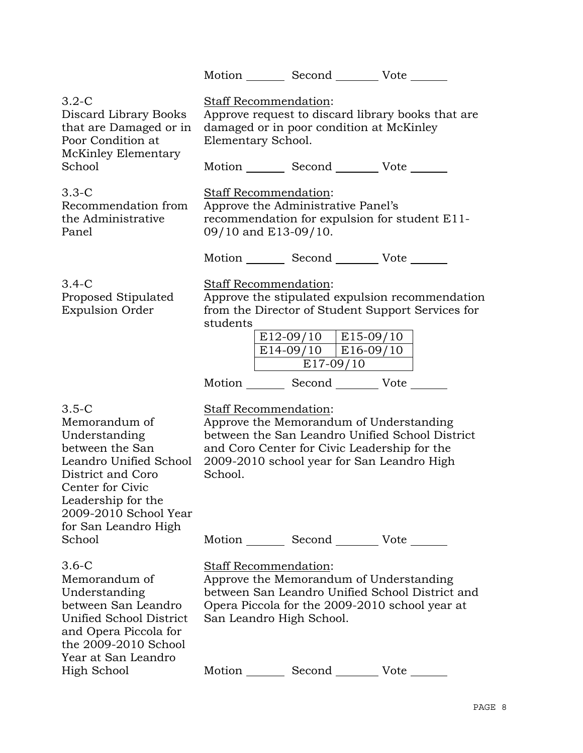|                                                                                                                                                                                                                    |                                                                                                                                                     | Motion Second Vote                                                                                                                                                                       |                                                                                                      |  |
|--------------------------------------------------------------------------------------------------------------------------------------------------------------------------------------------------------------------|-----------------------------------------------------------------------------------------------------------------------------------------------------|------------------------------------------------------------------------------------------------------------------------------------------------------------------------------------------|------------------------------------------------------------------------------------------------------|--|
| $3.2 - C$<br>Discard Library Books<br>that are Damaged or in<br>Poor Condition at                                                                                                                                  | <b>Staff Recommendation:</b><br>Approve request to discard library books that are<br>damaged or in poor condition at McKinley<br>Elementary School. |                                                                                                                                                                                          |                                                                                                      |  |
| McKinley Elementary<br>School                                                                                                                                                                                      |                                                                                                                                                     | Motion _________ Second __________ Vote _______                                                                                                                                          |                                                                                                      |  |
| 3.3-C<br>Recommendation from<br>the Administrative<br>Panel                                                                                                                                                        | Staff Recommendation:<br>09/10 and E13-09/10.                                                                                                       | Approve the Administrative Panel's                                                                                                                                                       | recommendation for expulsion for student E11-                                                        |  |
|                                                                                                                                                                                                                    |                                                                                                                                                     | Motion _________ Second __________ Vote _______                                                                                                                                          |                                                                                                      |  |
| $3.4-C$<br>Proposed Stipulated<br><b>Expulsion Order</b>                                                                                                                                                           | Staff Recommendation:<br>students                                                                                                                   | $E12-09/10$   E15-09/10<br>$E14-09/10$   E16-09/10<br>$E17-09/10$<br>Motion _________ Second _________ Vote _______                                                                      | Approve the stipulated expulsion recommendation<br>from the Director of Student Support Services for |  |
| $3.5 - C$<br>Memorandum of<br>Understanding<br>between the San<br>Leandro Unified School<br>District and Coro<br>Center for Civic<br>Leadership for the<br>2009-2010 School Year<br>for San Leandro High<br>School | <b>Staff Recommendation:</b><br>School.                                                                                                             | Approve the Memorandum of Understanding<br>and Coro Center for Civic Leadership for the<br>2009-2010 school year for San Leandro High<br>Motion _________ Second __________ Vote _______ | between the San Leandro Unified School District                                                      |  |
| 3.6-C<br>Memorandum of<br>Understanding<br>between San Leandro<br>Unified School District<br>and Opera Piccola for<br>the 2009-2010 School<br>Year at San Leandro                                                  | Staff Recommendation:<br>San Leandro High School.                                                                                                   | Approve the Memorandum of Understanding                                                                                                                                                  | between San Leandro Unified School District and<br>Opera Piccola for the 2009-2010 school year at    |  |
| High School                                                                                                                                                                                                        |                                                                                                                                                     | Motion _________ Second ___________ Vote _______                                                                                                                                         |                                                                                                      |  |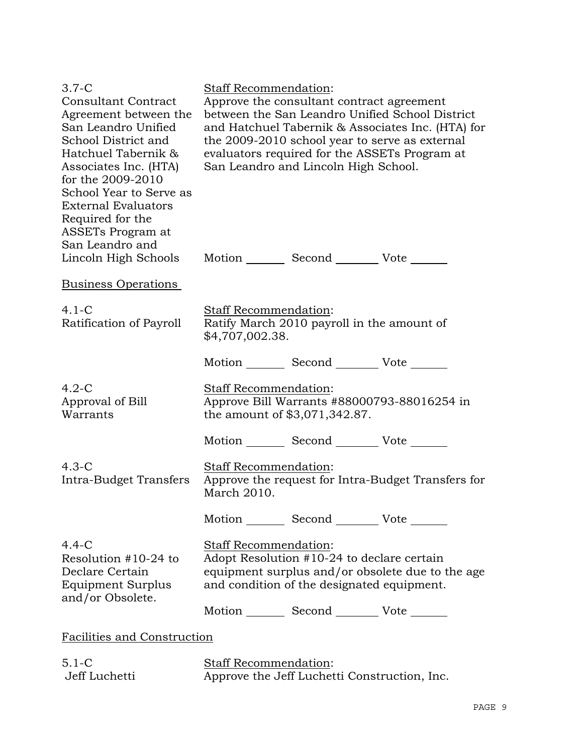| $3.7-C$                       | Staff Recommendation:                              |  |  |
|-------------------------------|----------------------------------------------------|--|--|
| <b>Consultant Contract</b>    | Approve the consultant contract agreement          |  |  |
| Agreement between the         | between the San Leandro Unified School District    |  |  |
| San Leandro Unified           | and Hatchuel Tabernik & Associates Inc. (HTA) for  |  |  |
| School District and           | the 2009-2010 school year to serve as external     |  |  |
| Hatchuel Tabernik &           | evaluators required for the ASSETs Program at      |  |  |
| Associates Inc. (HTA)         | San Leandro and Lincoln High School.               |  |  |
| for the 2009-2010             |                                                    |  |  |
| School Year to Serve as       |                                                    |  |  |
| <b>External Evaluators</b>    |                                                    |  |  |
| Required for the              |                                                    |  |  |
| ASSET <sub>s</sub> Program at |                                                    |  |  |
| San Leandro and               |                                                    |  |  |
| Lincoln High Schools          | Motion Second Vote                                 |  |  |
| Business Operations           |                                                    |  |  |
|                               |                                                    |  |  |
| $4.1-C$                       | Staff Recommendation:                              |  |  |
| Ratification of Payroll       | Ratify March 2010 payroll in the amount of         |  |  |
|                               | \$4,707,002.38.                                    |  |  |
|                               |                                                    |  |  |
|                               | Motion _________ Second __________ Vote _______    |  |  |
| $4.2-C$                       | Staff Recommendation:                              |  |  |
| Approval of Bill              | Approve Bill Warrants #88000793-88016254 in        |  |  |
| Warrants                      | the amount of \$3,071,342.87.                      |  |  |
|                               |                                                    |  |  |
|                               | Motion _________ Second __________ Vote _______    |  |  |
| $4.3-C$                       | Staff Recommendation:                              |  |  |
| Intra-Budget Transfers        | Approve the request for Intra-Budget Transfers for |  |  |
|                               | March 2010.                                        |  |  |
|                               |                                                    |  |  |
|                               | Motion Second Vote                                 |  |  |
|                               |                                                    |  |  |
| $4.4-C$                       | Staff Recommendation:                              |  |  |
| Resolution $#10-24$ to        | Adopt Resolution #10-24 to declare certain         |  |  |
| Declare Certain               | equipment surplus and/or obsolete due to the age   |  |  |
| Equipment Surplus             | and condition of the designated equipment.         |  |  |
| and/or Obsolete.              | Motion _________ Second ___________ Vote _______   |  |  |
|                               |                                                    |  |  |
| Facilities and Construction   |                                                    |  |  |
|                               |                                                    |  |  |
| $5.1 - C$<br>Jeff Luchetti    | Staff Recommendation:                              |  |  |
|                               | Approve the Jeff Luchetti Construction, Inc.       |  |  |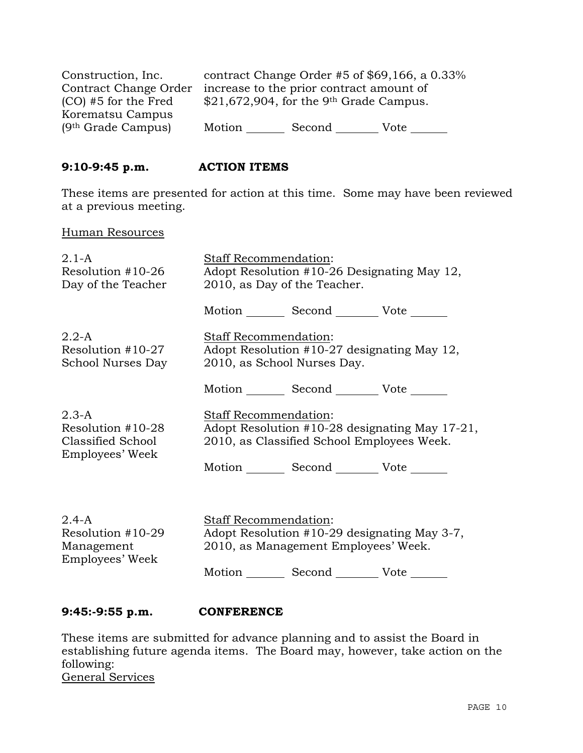| Construction, Inc.     |        |                                                       | contract Change Order #5 of $$69,166$ , a 0.33% |
|------------------------|--------|-------------------------------------------------------|-------------------------------------------------|
| Contract Change Order  |        | increase to the prior contract amount of              |                                                 |
| $(CO)$ #5 for the Fred |        | $$21,672,904$ , for the 9 <sup>th</sup> Grade Campus. |                                                 |
| Korematsu Campus       |        |                                                       |                                                 |
| $(9th$ Grade Campus)   | Motion | Second                                                | Vote                                            |

## **9:10-9:45 p.m. ACTION ITEMS**

These items are presented for action at this time. Some may have been reviewed at a previous meeting.

#### Human Resources

| $2.1 - A$<br>Resolution $#10-26$<br>Day of the Teacher               | Staff Recommendation:<br>Adopt Resolution #10-26 Designating May 12,<br>2010, as Day of the Teacher.                         |  |  |
|----------------------------------------------------------------------|------------------------------------------------------------------------------------------------------------------------------|--|--|
|                                                                      | Motion Second Vote                                                                                                           |  |  |
| $2.2-A$<br>Resolution $#10-27$<br>School Nurses Day                  | Staff Recommendation:<br>Adopt Resolution #10-27 designating May 12,<br>2010, as School Nurses Day.                          |  |  |
|                                                                      | Motion Second Vote                                                                                                           |  |  |
| $2.3-A$<br>Resolution #10-28<br>Classified School<br>Employees' Week | <b>Staff Recommendation:</b><br>Adopt Resolution #10-28 designating May 17-21,<br>2010, as Classified School Employees Week. |  |  |
|                                                                      | Motion _________ Second __________ Vote _______                                                                              |  |  |
|                                                                      |                                                                                                                              |  |  |
| $2.4 - A$<br>Resolution $#10-29$<br>Management<br>Employees' Week    | Staff Recommendation:<br>Adopt Resolution #10-29 designating May 3-7,<br>2010, as Management Employees' Week.                |  |  |
|                                                                      | Motion Second Vote                                                                                                           |  |  |

# **9:45:-9:55 p.m. CONFERENCE**

These items are submitted for advance planning and to assist the Board in establishing future agenda items. The Board may, however, take action on the following: General Services